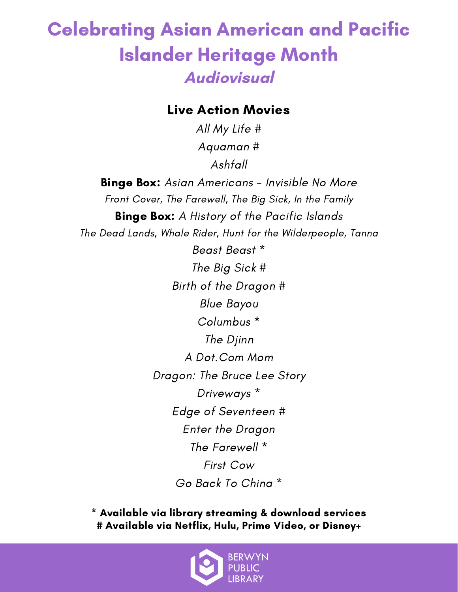### Celebrating Asian American and Pacific Islander Heritage Month **Audiovisual**

#### Live Action Movies

All My Life # Aquaman # Ashfall

**Binge Box:** Asian Americans - Invisible No More Front Cover, The Farewell, The Big Sick, In the Family **Binge Box:** A History of the Pacific Islands The Dead Lands, Whale Rider, Hunt for the Wilderpeople, Tanna Beast Beast \* The Big Sick # Birth of the Dragon # Blue Bayou Columbus \* The Djinn A Dot.Com Mom Dragon: The Bruce Lee Story Driveways \* Edge of Seventeen # Enter the Dragon The Farewell \* First Cow

Go Back To China \*

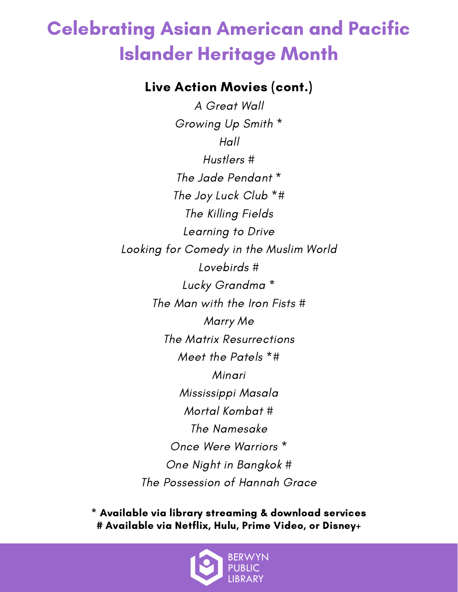# Celebrating Asian American and Pacific Islander Heritage Month

#### Live Action Movies (cont.)

A Great Wall Growing Up Smith \*  $H$ all Hustlers # The Jade Pendant \* The Joy Luck Club \*# The Killing Fields Learning to Drive Looking for Comedy in the Muslim World Lovebirds # Lucky Grandma \* The Man with the Iron Fists # Marry Me The Matrix Resurrections Meet the Patels \*# Minari Mississippi Masala Mortal Kombat # The Namesake Once Were Warriors \* One Night in Bangkok # The Possession of Hannah Grace

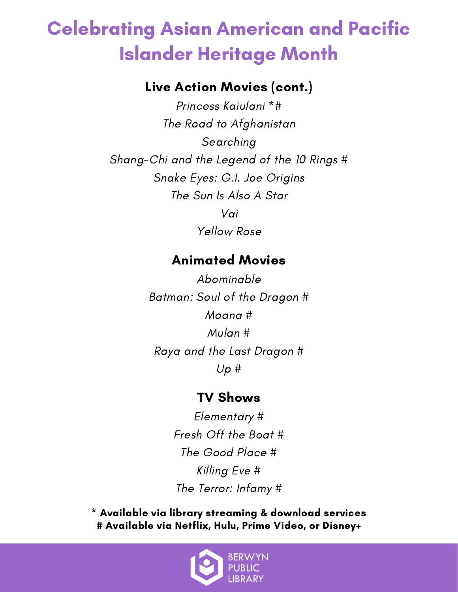## Celebrating Asian American and Pacific Islander Heritage Month

#### Live Action Movies (cont.)

Princess Kaiulani \*# The Road to Afghanistan Searching Shang-Chi and the Legend of the 10 Rings # Snake Eyes: G.I. Joe Origins The Sun Is Also A Star Vai Yellow Rose

#### Animated Movies

Abominable Batman: Soul of the Dragon # Moana # Mulan # Raya and the Last Dragon #  $Up#$ 

#### TV Shows

Elementary # Fresh Off the Boat # The Good Place # Killing Eve # The Terror: Infamy #